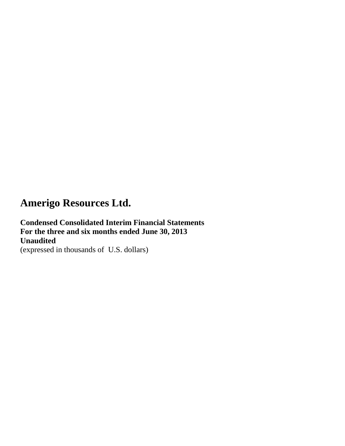**Condensed Consolidated Interim Financial Statements For the three and six months ended June 30, 2013 Unaudited**

(expressed in thousands of U.S. dollars)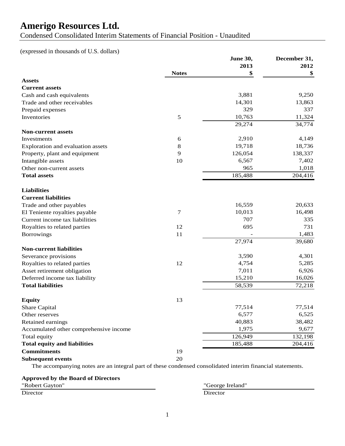Condensed Consolidated Interim Statements of Financial Position - Unaudited

(expressed in thousands of U.S. dollars)

|                                        |               | June 30, | December 31, |
|----------------------------------------|---------------|----------|--------------|
|                                        |               | 2013     | 2012         |
|                                        | <b>Notes</b>  | \$       | \$           |
| <b>Assets</b>                          |               |          |              |
| <b>Current assets</b>                  |               |          |              |
| Cash and cash equivalents              |               | 3,881    | 9,250        |
| Trade and other receivables            |               | 14,301   | 13,863       |
| Prepaid expenses                       |               | 329      | 337          |
| Inventories                            | $\mathfrak s$ | 10,763   | 11,324       |
|                                        |               | 29,274   | 34,774       |
| <b>Non-current assets</b>              |               |          |              |
| Investments                            | 6             | 2,910    | 4,149        |
| Exploration and evaluation assets      | $8\,$         | 19,718   | 18,736       |
| Property, plant and equipment          | 9             | 126,054  | 138,337      |
| Intangible assets                      | 10            | 6,567    | 7,402        |
| Other non-current assets               |               | 965      | 1,018        |
| <b>Total assets</b>                    |               | 185,488  | 204,416      |
|                                        |               |          |              |
| <b>Liabilities</b>                     |               |          |              |
| <b>Current liabilities</b>             |               |          |              |
| Trade and other payables               |               | 16,559   | 20,633       |
| El Teniente royalties payable          | 7             | 10,013   | 16,498       |
| Current income tax liabilities         |               | 707      | 335          |
| Royalties to related parties           | 12            | 695      | 731          |
| <b>Borrowings</b>                      | 11            |          | 1,483        |
|                                        |               | 27,974   | 39,680       |
| <b>Non-current liabilities</b>         |               |          |              |
| Severance provisions                   |               | 3,590    | 4,301        |
| Royalties to related parties           | 12            | 4,754    | 5,285        |
| Asset retirement obligation            |               | 7,011    | 6,926        |
| Deferred income tax liability          |               | 15,210   | 16,026       |
| <b>Total liabilities</b>               |               | 58,539   | 72,218       |
|                                        |               |          |              |
| <b>Equity</b>                          | 13            |          |              |
|                                        |               | 77,514   | 77,514       |
| Share Capital                          |               |          |              |
| Other reserves                         |               | 6,577    | 6,525        |
| Retained earnings                      |               | 40,883   | 38,482       |
| Accumulated other comprehensive income |               | 1,975    | 9,677        |
| Total equity                           |               | 126,949  | 132,198      |
| <b>Total equity and liabilities</b>    |               | 185,488  | 204,416      |
| <b>Commitments</b>                     | 19            |          |              |
| <b>Subsequent events</b>               | 20            |          |              |

The accompanying notes are an integral part of these condensed consolidated interim financial statements.

| <b>Approved by the Board of Directors</b> |  |  |
|-------------------------------------------|--|--|
|-------------------------------------------|--|--|

"Robert Gayton" "George Ireland" Director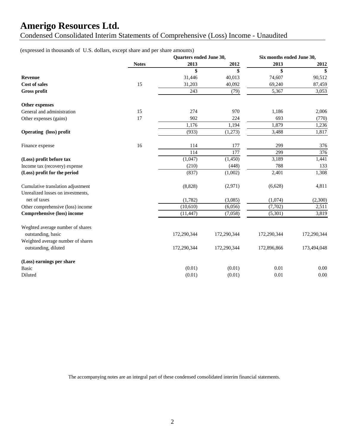Condensed Consolidated Interim Statements of Comprehensive (Loss) Income - Unaudited

### (expressed in thousands of U.S. dollars, except share and per share amounts)

|                                                                        |              | Quarters ended June 30, |                  | Six months ended June 30, |                  |
|------------------------------------------------------------------------|--------------|-------------------------|------------------|---------------------------|------------------|
|                                                                        | <b>Notes</b> | 2013                    | 2012             | 2013                      | 2012             |
|                                                                        |              | \$                      | \$               | \$                        | \$               |
| <b>Revenue</b>                                                         |              | 31,446                  | 40,013           | 74,607                    | 90,512           |
| <b>Cost of sales</b>                                                   | 15           | 31,203                  | 40,092           | 69,240                    | 87,459           |
| Gross profit                                                           |              | 243                     | (79)             | 5,367                     | 3,053            |
| Other expenses                                                         |              |                         |                  |                           |                  |
| General and administration                                             | 15           | 274                     | 970              | 1,186                     | 2,006            |
| Other expenses (gains)                                                 | 17           | 902                     | 224              | 693                       | (770)            |
|                                                                        |              | 1,176                   | 1,194            | 1,879                     | 1,236            |
| Operating (loss) profit                                                |              | (933)                   | (1,273)          | 3,488                     | 1,817            |
| Finance expense                                                        | 16           | 114                     | 177              | 299                       | 376              |
|                                                                        |              | 114                     | $\overline{177}$ | 299                       | $\overline{376}$ |
| (Loss) profit before tax                                               |              | (1,047)                 | (1,450)          | 3,189                     | 1,441            |
| Income tax (recovery) expense                                          |              | (210)                   | (448)            | 788                       | 133              |
| (Loss) profit for the period                                           |              | (837)                   | (1,002)          | 2,401                     | 1,308            |
| Cumulative translation adjustment<br>Unrealized losses on investments, |              | (8,828)                 | (2,971)          | (6,628)                   | 4,811            |
| net of taxes                                                           |              | (1,782)                 | (3,085)          | (1,074)                   | (2,300)          |
| Other comprehensive (loss) income                                      |              | (10,610)                | (6,056)          | (7,702)                   | 2,511            |
| <b>Comprehensive (loss) income</b>                                     |              | (11, 447)               | (7,058)          | (5,301)                   | 3,819            |
| Weghted average number of shares<br>outstanding, basic                 |              | 172,290,344             | 172,290,344      | 172,290,344               | 172,290,344      |
| Weighted average number of shares<br>outstanding, diluted              |              | 172,290,344             | 172,290,344      | 172,896,866               | 173,494,048      |
| (Loss) earnings per share                                              |              |                         |                  |                           |                  |
| <b>Basic</b>                                                           |              | (0.01)                  | (0.01)           | 0.01                      | 0.00             |
| Diluted                                                                |              | (0.01)                  | (0.01)           | 0.01                      | 0.00             |

The accompanying notes are an integral part of these condensed consolidated interim financial statements.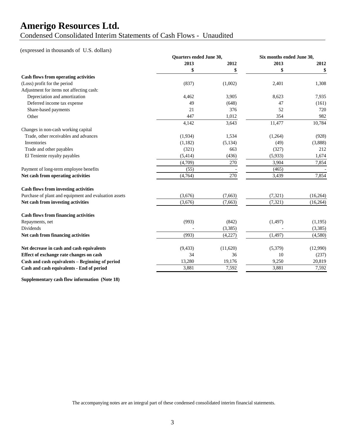Condensed Consolidated Interim Statements of Cash Flows - Unaudited

#### (expressed in thousands of U.S. dollars)

|                                                       | Quarters ended June 30, |          | Six months ended June 30, |           |
|-------------------------------------------------------|-------------------------|----------|---------------------------|-----------|
|                                                       | 2013                    | 2012     | 2013                      | 2012      |
|                                                       | \$                      | \$       |                           | \$        |
| Cash flows from operating activities                  |                         |          |                           |           |
| (Loss) profit for the period                          | (837)                   | (1,002)  | 2,401                     | 1,308     |
| Adjustment for items not affecting cash:              |                         |          |                           |           |
| Depreciation and amortization                         | 4,462                   | 3,905    | 8,623                     | 7,935     |
| Deferred income tax expense                           | 49                      | (648)    | 47                        | (161)     |
| Share-based payments                                  | 21                      | 376      | 52                        | 720       |
| Other                                                 | 447                     | 1,012    | 354                       | 982       |
|                                                       | 4,142                   | 3,643    | 11,477                    | 10,784    |
| Changes in non-cash working capital                   |                         |          |                           |           |
| Trade, other receivables and advances                 | (1,934)                 | 1,534    | (1,264)                   | (928)     |
| Inventories                                           | (1,182)                 | (5, 134) | (49)                      | (3,888)   |
| Trade and other payables                              | (321)                   | 663      | (327)                     | 212       |
| El Teniente royalty payables                          | (5,414)                 | (436)    | (5,933)                   | 1,674     |
|                                                       | (4,709)                 | 270      | 3,904                     | 7,854     |
| Payment of long-term employee benefits                | (55)                    |          | (465)                     |           |
| Net cash from operating activities                    | (4,764)                 | 270      | 3,439                     | 7,854     |
| <b>Cash flows from investing activities</b>           |                         |          |                           |           |
| Purchase of plant and equipment and evaluation assets | (3,676)                 | (7,663)  | (7, 321)                  | (16, 264) |
| Net cash from investing activities                    | (3,676)                 | (7,663)  | (7, 321)                  | (16, 264) |
| <b>Cash flows from financing activities</b>           |                         |          |                           |           |
| Repayments, net                                       | (993)                   | (842)    | (1, 497)                  | (1,195)   |
| <b>Dividends</b>                                      |                         | (3, 385) |                           | (3,385)   |
| Net cash from financing activities                    | (993)                   | (4,227)  | (1, 497)                  | (4,580)   |
| Net decrease in cash and cash equivalents             | (9, 433)                | (11,620) | (5,379)                   | (12,990)  |
| Effect of exchange rate changes on cash               | 34                      | 36       | 10                        | (237)     |
| Cash and cash equivalents - Beginning of period       | 13,280                  | 19,176   | 9,250                     | 20,819    |
| Cash and cash equivalents - End of period             | 3,881                   | 7,592    | 3,881                     | 7,592     |
|                                                       |                         |          |                           |           |

**Supplementary cash flow information (Note 18)**

The accompanying notes are an integral part of these condensed consolidated interim financial statements.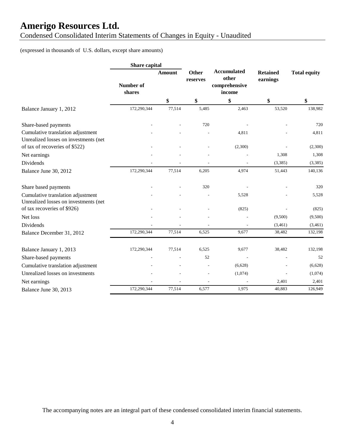Condensed Consolidated Interim Statements of Changes in Equity - Unaudited

### (expressed in thousands of U.S. dollars, except share amounts)

|                                                                            | Share capital       |               |                   |                                                        |                             |                     |
|----------------------------------------------------------------------------|---------------------|---------------|-------------------|--------------------------------------------------------|-----------------------------|---------------------|
|                                                                            | Number of<br>shares | <b>Amount</b> | Other<br>reserves | <b>Accumulated</b><br>other<br>comprehensive<br>income | <b>Retained</b><br>earnings | <b>Total equity</b> |
|                                                                            |                     | \$            | \$                | \$                                                     | \$                          | \$                  |
| Balance January 1, 2012                                                    | 172,290,344         | 77,514        | 5,485             | 2,463                                                  | 53,520                      | 138,982             |
| Share-based payments                                                       |                     |               | 720               |                                                        |                             | 720                 |
| Cumulative translation adjustment<br>Unrealized losses on investments (net |                     |               |                   | 4,811                                                  |                             | 4,811               |
| of tax of recoveries of \$522)                                             |                     |               |                   | (2,300)                                                |                             | (2,300)             |
| Net earnings                                                               |                     |               |                   |                                                        | 1,308                       | 1,308               |
| Dividends                                                                  |                     |               |                   |                                                        | (3,385)                     | (3, 385)            |
| Balance June 30, 2012                                                      | 172,290,344         | 77,514        | 6,205             | 4,974                                                  | 51,443                      | 140,136             |
| Share based payments                                                       |                     |               | 320               |                                                        |                             | 320                 |
| Cumulative translation adjustment<br>Unrealized losses on investments (net |                     |               |                   | 5,528                                                  |                             | 5,528               |
| of tax recoveries of \$926)                                                |                     |               |                   | (825)                                                  |                             | (825)               |
| Net loss                                                                   |                     |               |                   |                                                        | (9,500)                     | (9,500)             |
| Dividends                                                                  | 172,290,344         | 77,514        | 6,525             | 9,677                                                  | (3,461)<br>38,482           | (3,461)<br>132,198  |
| Balance December 31, 2012                                                  |                     |               |                   |                                                        |                             |                     |
| Balance January 1, 2013                                                    | 172,290,344         | 77,514        | 6,525             | 9,677                                                  | 38,482                      | 132,198             |
| Share-based payments                                                       |                     |               | 52                |                                                        |                             | 52                  |
| Cumulative translation adjustment                                          |                     |               |                   | (6,628)                                                |                             | (6,628)             |
| Unrealized losses on investments                                           |                     |               |                   | (1,074)                                                |                             | (1,074)             |
| Net earnings                                                               |                     |               |                   |                                                        | 2,401                       | 2,401               |
| Balance June 30, 2013                                                      | 172,290,344         | 77,514        | 6,577             | 1,975                                                  | 40,883                      | 126,949             |

The accompanying notes are an integral part of these condensed consolidated interim financial statements.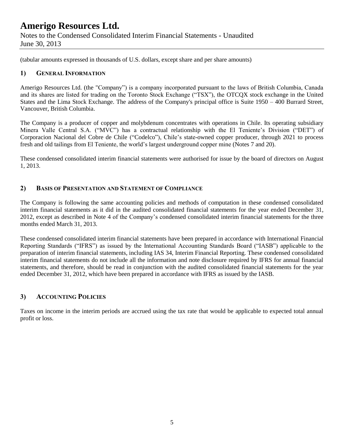June 30, 2013

(tabular amounts expressed in thousands of U.S. dollars, except share and per share amounts)

### **1) GENERAL INFORMATION**

Amerigo Resources Ltd. (the "Company") is a company incorporated pursuant to the laws of British Columbia, Canada and its shares are listed for trading on the Toronto Stock Exchange ("TSX"), the OTCQX stock exchange in the United States and the Lima Stock Exchange. The address of the Company's principal office is Suite 1950 – 400 Burrard Street, Vancouver, British Columbia.

The Company is a producer of copper and molybdenum concentrates with operations in Chile. Its operating subsidiary Minera Valle Central S.A. ("MVC") has a contractual relationship with the El Teniente's Division ("DET") of Corporacion Nacional del Cobre de Chile ("Codelco"), Chile's state-owned copper producer, through 2021 to process fresh and old tailings from El Teniente, the world's largest underground copper mine (Notes 7 and 20).

These condensed consolidated interim financial statements were authorised for issue by the board of directors on August 1, 2013.

#### **2) BASIS OF PRESENTATION AND STATEMENT OF COMPLIANCE**

The Company is following the same accounting policies and methods of computation in these condensed consolidated interim financial statements as it did in the audited consolidated financial statements for the year ended December 31, 2012, except as described in Note 4 of the Company's condensed consolidated interim financial statements for the three months ended March 31, 2013.

These condensed consolidated interim financial statements have been prepared in accordance with International Financial Reporting Standards ("IFRS") as issued by the International Accounting Standards Board ("IASB") applicable to the preparation of interim financial statements, including IAS 34, Interim Financial Reporting. These condensed consolidated interim financial statements do not include all the information and note disclosure required by IFRS for annual financial statements, and therefore, should be read in conjunction with the audited consolidated financial statements for the year ended December 31, 2012, which have been prepared in accordance with IFRS as issued by the IASB.

### **3) ACCOUNTING POLICIES**

Taxes on income in the interim periods are accrued using the tax rate that would be applicable to expected total annual profit or loss.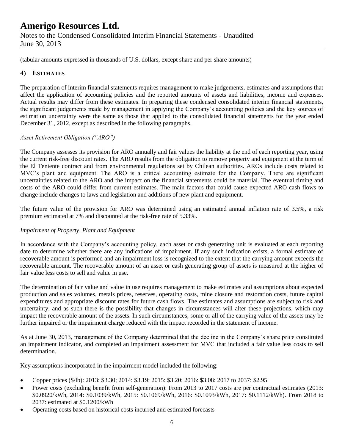(tabular amounts expressed in thousands of U.S. dollars, except share and per share amounts)

#### **4) ESTIMATES**

The preparation of interim financial statements requires management to make judgements, estimates and assumptions that affect the application of accounting policies and the reported amounts of assets and liabilities, income and expenses. Actual results may differ from these estimates. In preparing these condensed consolidated interim financial statements, the significant judgements made by management in applying the Company's accounting policies and the key sources of estimation uncertainty were the same as those that applied to the consolidated financial statements for the year ended December 31, 2012, except as described in the following paragraphs.

#### *Asset Retirement Obligation ("ARO")*

The Company assesses its provision for ARO annually and fair values the liability at the end of each reporting year, using the current risk-free discount rates. The ARO results from the obligation to remove property and equipment at the term of the El Teniente contract and from environmental regulations set by Chilean authorities. AROs include costs related to MVC's plant and equipment. The ARO is a critical accounting estimate for the Company. There are significant uncertainties related to the ARO and the impact on the financial statements could be material. The eventual timing and costs of the ARO could differ from current estimates. The main factors that could cause expected ARO cash flows to change include changes to laws and legislation and additions of new plant and equipment.

The future value of the provision for ARO was determined using an estimated annual inflation rate of 3.5%, a risk premium estimated at 7% and discounted at the risk-free rate of 5.33%.

#### *Impairment of Property, Plant and Equipment*

In accordance with the Company's accounting policy, each asset or cash generating unit is evaluated at each reporting date to determine whether there are any indications of impairment. If any such indication exists, a formal estimate of recoverable amount is performed and an impairment loss is recognized to the extent that the carrying amount exceeds the recoverable amount. The recoverable amount of an asset or cash generating group of assets is measured at the higher of fair value less costs to sell and value in use.

The determination of fair value and value in use requires management to make estimates and assumptions about expected production and sales volumes, metals prices, reserves, operating costs, mine closure and restoration costs, future capital expenditures and appropriate discount rates for future cash flows. The estimates and assumptions are subject to risk and uncertainty, and as such there is the possibility that changes in circumstances will alter these projections, which may impact the recoverable amount of the assets. In such circumstances, some or all of the carrying value of the assets may be further impaired or the impairment charge reduced with the impact recorded in the statement of income.

As at June 30, 2013, management of the Company determined that the decline in the Company's share price constituted an impairment indicator, and completed an impairment assessment for MVC that included a fair value less costs to sell determination.

Key assumptions incorporated in the impairment model included the following:

- Copper prices (\$/lb): 2013: \$3.30; 2014: \$3.19: 2015: \$3.20; 2016: \$3.08: 2017 to 2037: \$2.95
- Power costs (excluding benefit from self-generation): From 2013 to 2017 costs are per contractual estimates (2013: \$0.0920/kWh, 2014: \$0.1039/kWh, 2015: \$0.1069/kWh, 2016: \$0.1093/kWh, 2017: \$0.1112/kWh). From 2018 to 2037: estimated at \$0.1200/kWh
- Operating costs based on historical costs incurred and estimated forecasts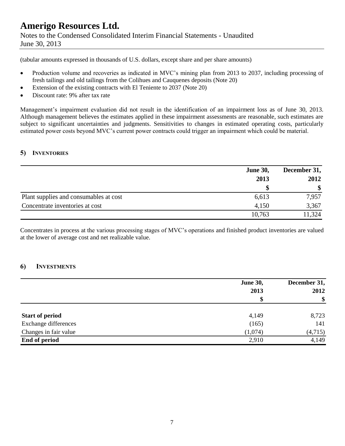Notes to the Condensed Consolidated Interim Financial Statements - Unaudited June 30, 2013

(tabular amounts expressed in thousands of U.S. dollars, except share and per share amounts)

- Production volume and recoveries as indicated in MVC's mining plan from 2013 to 2037, including processing of fresh tailings and old tailings from the Colihues and Cauquenes deposits (Note 20)
- Extension of the existing contracts with El Teniente to 2037 (Note 20)
- Discount rate: 9% after tax rate

Management's impairment evaluation did not result in the identification of an impairment loss as of June 30, 2013. Although management believes the estimates applied in these impairment assessments are reasonable, such estimates are subject to significant uncertainties and judgments. Sensitivities to changes in estimated operating costs, particularly estimated power costs beyond MVC's current power contracts could trigger an impairment which could be material.

#### **5) INVENTORIES**

|                                        | <b>June 30,</b> | December 31, |  |
|----------------------------------------|-----------------|--------------|--|
|                                        | 2013            | 2012<br>\$   |  |
|                                        |                 |              |  |
| Plant supplies and consumables at cost | 6,613           | 7,957        |  |
| Concentrate inventories at cost        | 4,150           | 3,367        |  |
|                                        | 10,763          | 11,324       |  |

Concentrates in process at the various processing stages of MVC's operations and finished product inventories are valued at the lower of average cost and net realizable value.

### **6) INVESTMENTS**

|                        | <b>June 30,</b> | December 31, |  |
|------------------------|-----------------|--------------|--|
|                        | 2013            | 2012         |  |
|                        |                 | \$           |  |
| <b>Start of period</b> | 4,149           | 8,723        |  |
| Exchange differences   | (165)           | 141          |  |
| Changes in fair value  | (1,074)         | (4,715)      |  |
| End of period          | 2,910           | 4,149        |  |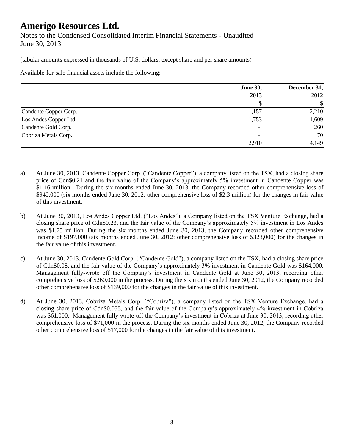June 30, 2013

(tabular amounts expressed in thousands of U.S. dollars, except share and per share amounts)

Available-for-sale financial assets include the following:

|                       | <b>June 30,</b>          | December 31,<br>2012 |  |
|-----------------------|--------------------------|----------------------|--|
|                       | 2013                     |                      |  |
|                       | \$                       | \$                   |  |
| Candente Copper Corp. | 1,157                    | 2,210                |  |
| Los Andes Copper Ltd. | 1,753                    | 1,609                |  |
| Candente Gold Corp.   | $\overline{\phantom{a}}$ | 260                  |  |
| Cobriza Metals Corp.  | $\overline{a}$           | 70                   |  |
|                       | 2,910                    | 4,149                |  |

- a) At June 30, 2013, Candente Copper Corp. ("Candente Copper"), a company listed on the TSX, had a closing share price of Cdn\$0.21 and the fair value of the Company's approximately 5% investment in Candente Copper was \$1.16 million. During the six months ended June 30, 2013, the Company recorded other comprehensive loss of \$940,000 (six months ended June 30, 2012: other comprehensive loss of \$2.3 million) for the changes in fair value of this investment.
- b) At June 30, 2013, Los Andes Copper Ltd. ("Los Andes"), a Company listed on the TSX Venture Exchange, had a closing share price of Cdn\$0.23, and the fair value of the Company's approximately 5% investment in Los Andes was \$1.75 million. During the six months ended June 30, 2013, the Company recorded other comprehensive income of \$197,000 (six months ended June 30, 2012: other comprehensive loss of \$323,000) for the changes in the fair value of this investment.
- c) At June 30, 2013, Candente Gold Corp. ("Candente Gold"), a company listed on the TSX, had a closing share price of Cdn\$0.08, and the fair value of the Company's approximately 3% investment in Candente Gold was \$164,000. Management fully-wrote off the Company's investment in Candente Gold at June 30, 2013, recording other comprehensive loss of \$260,000 in the process. During the six months ended June 30, 2012, the Company recorded other comprehensive loss of \$139,000 for the changes in the fair value of this investment.
- d) At June 30, 2013, Cobriza Metals Corp. ("Cobriza"), a company listed on the TSX Venture Exchange, had a closing share price of Cdn\$0.055, and the fair value of the Company's approximately 4% investment in Cobriza was \$61,000. Management fully wrote-off the Company's investment in Cobriza at June 30, 2013, recording other comprehensive loss of \$71,000 in the process. During the six months ended June 30, 2012, the Company recorded other comprehensive loss of \$17,000 for the changes in the fair value of this investment.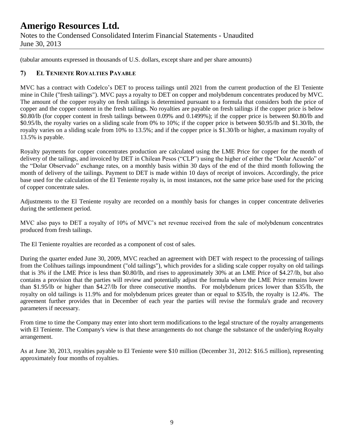(tabular amounts expressed in thousands of U.S. dollars, except share and per share amounts)

### **7) EL TENIENTE ROYALTIES PAYABLE**

MVC has a contract with Codelco's DET to process tailings until 2021 from the current production of the El Teniente mine in Chile ("fresh tailings"). MVC pays a royalty to DET on copper and molybdenum concentrates produced by MVC. The amount of the copper royalty on fresh tailings is determined pursuant to a formula that considers both the price of copper and the copper content in the fresh tailings. No royalties are payable on fresh tailings if the copper price is below \$0.80/lb (for copper content in fresh tailings between 0.09% and 0.1499%); if the copper price is between \$0.80/lb and \$0.95/lb, the royalty varies on a sliding scale from 0% to 10%; if the copper price is between \$0.95/lb and \$1.30/lb, the royalty varies on a sliding scale from 10% to 13.5%; and if the copper price is \$1.30/lb or higher, a maximum royalty of 13.5% is payable.

Royalty payments for copper concentrates production are calculated using the LME Price for copper for the month of delivery of the tailings, and invoiced by DET in Chilean Pesos ("CLP") using the higher of either the "Dolar Acuerdo" or the "Dolar Observado" exchange rates, on a monthly basis within 30 days of the end of the third month following the month of delivery of the tailings. Payment to DET is made within 10 days of receipt of invoices. Accordingly, the price base used for the calculation of the El Teniente royalty is, in most instances, not the same price base used for the pricing of copper concentrate sales.

Adjustments to the El Teniente royalty are recorded on a monthly basis for changes in copper concentrate deliveries during the settlement period.

MVC also pays to DET a royalty of 10% of MVC's net revenue received from the sale of molybdenum concentrates produced from fresh tailings.

The El Teniente royalties are recorded as a component of cost of sales.

During the quarter ended June 30, 2009, MVC reached an agreement with DET with respect to the processing of tailings from the Colihues tailings impoundment ("old tailings"), which provides for a sliding scale copper royalty on old tailings that is 3% if the LME Price is less than \$0.80/lb, and rises to approximately 30% at an LME Price of \$4.27/lb, but also contains a provision that the parties will review and potentially adjust the formula where the LME Price remains lower than \$1.95/lb or higher than \$4.27/lb for three consecutive months. For molybdenum prices lower than \$35/lb, the royalty on old tailings is 11.9% and for molybdenum prices greater than or equal to \$35/lb, the royalty is 12.4%. The agreement further provides that in December of each year the parties will revise the formula's grade and recovery parameters if necessary.

From time to time the Company may enter into short term modifications to the legal structure of the royalty arrangements with El Teniente. The Company's view is that these arrangements do not change the substance of the underlying Royalty arrangement.

As at June 30, 2013, royalties payable to El Teniente were \$10 million (December 31, 2012: \$16.5 million), representing approximately four months of royalties.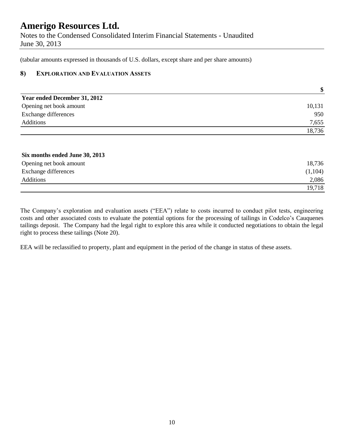Notes to the Condensed Consolidated Interim Financial Statements - Unaudited June 30, 2013

(tabular amounts expressed in thousands of U.S. dollars, except share and per share amounts)

### **8) EXPLORATION AND EVALUATION ASSETS**

|                              | \$     |
|------------------------------|--------|
| Year ended December 31, 2012 |        |
| Opening net book amount      | 10,131 |
| Exchange differences         | 950    |
| Additions                    | 7,655  |
|                              | 18.736 |

| Six months ended June 30, 2013 |         |
|--------------------------------|---------|
| Opening net book amount        | 18,736  |
| Exchange differences           | (1,104) |
| Additions                      | 2,086   |
|                                | 19,718  |

The Company's exploration and evaluation assets ("EEA") relate to costs incurred to conduct pilot tests, engineering costs and other associated costs to evaluate the potential options for the processing of tailings in Codelco's Cauquenes tailings deposit. The Company had the legal right to explore this area while it conducted negotiations to obtain the legal right to process these tailings (Note 20).

EEA will be reclassified to property, plant and equipment in the period of the change in status of these assets.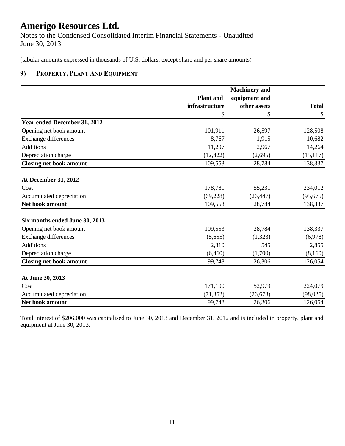Notes to the Condensed Consolidated Interim Financial Statements - Unaudited June 30, 2013

(tabular amounts expressed in thousands of U.S. dollars, except share and per share amounts)

### **9) PROPERTY, PLANT AND EQUIPMENT**

|                                |                  | <b>Machinery</b> and |              |  |
|--------------------------------|------------------|----------------------|--------------|--|
|                                | <b>Plant</b> and | equipment and        |              |  |
|                                | infrastructure   | other assets         | <b>Total</b> |  |
|                                | \$               | \$                   | \$           |  |
| Year ended December 31, 2012   |                  |                      |              |  |
| Opening net book amount        | 101,911          | 26,597               | 128,508      |  |
| Exchange differences           | 8,767            | 1,915                | 10,682       |  |
| <b>Additions</b>               | 11,297           | 2,967                | 14,264       |  |
| Depreciation charge            | (12, 422)        | (2,695)              | (15, 117)    |  |
| <b>Closing net book amount</b> | 109,553          | 28,784               | 138,337      |  |
|                                |                  |                      |              |  |
| <b>At December 31, 2012</b>    |                  |                      |              |  |
| Cost                           | 178,781          | 55,231               | 234,012      |  |
| Accumulated depreciation       | (69, 228)        | (26, 447)            | (95, 675)    |  |
| Net book amount                | 109,553          | 28,784               | 138,337      |  |
|                                |                  |                      |              |  |
| Six months ended June 30, 2013 |                  |                      |              |  |
| Opening net book amount        | 109,553          | 28,784               | 138,337      |  |
| Exchange differences           | (5,655)          | (1,323)              | (6,978)      |  |
| <b>Additions</b>               | 2,310            | 545                  | 2,855        |  |
| Depreciation charge            | (6,460)          | (1,700)              | (8,160)      |  |
| <b>Closing net book amount</b> | 99,748           | 26,306               | 126,054      |  |
|                                |                  |                      |              |  |
| At June 30, 2013               |                  |                      |              |  |
| Cost                           | 171,100          | 52,979               | 224,079      |  |
| Accumulated depreciation       | (71, 352)        | (26, 673)            | (98, 025)    |  |
| Net book amount                | 99,748           | 26,306               | 126,054      |  |

Total interest of \$206,000 was capitalised to June 30, 2013 and December 31, 2012 and is included in property, plant and equipment at June 30, 2013.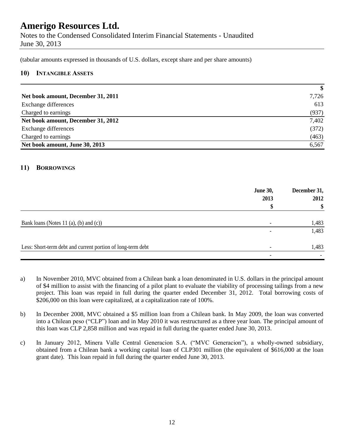Notes to the Condensed Consolidated Interim Financial Statements - Unaudited June 30, 2013

(tabular amounts expressed in thousands of U.S. dollars, except share and per share amounts)

#### **10) INTANGIBLE ASSETS**

|                                    | \$    |
|------------------------------------|-------|
| Net book amount, December 31, 2011 | 7,726 |
| Exchange differences               | 613   |
| Charged to earnings                | (937) |
| Net book amount, December 31, 2012 | 7,402 |
| Exchange differences               | (372) |
| Charged to earnings                | (463) |
| Net book amount, June 30, 2013     | 6,567 |

#### **11) BORROWINGS**

|                                                             | <b>June 30,</b><br>2013  | December 31,<br>2012 |
|-------------------------------------------------------------|--------------------------|----------------------|
|                                                             |                          | \$                   |
| Bank loans (Notes 11 (a), (b) and (c))                      |                          | 1,483                |
|                                                             | $\overline{\phantom{a}}$ | 1,483                |
| Less: Short-term debt and current portion of long-term debt |                          | 1,483                |
|                                                             | $\overline{\phantom{a}}$ |                      |

- a) In November 2010, MVC obtained from a Chilean bank a loan denominated in U.S. dollars in the principal amount of \$4 million to assist with the financing of a pilot plant to evaluate the viability of processing tailings from a new project. This loan was repaid in full during the quarter ended December 31, 2012. Total borrowing costs of \$206,000 on this loan were capitalized, at a capitalization rate of 100%.
- b) In December 2008, MVC obtained a \$5 million loan from a Chilean bank. In May 2009, the loan was converted into a Chilean peso ("CLP") loan and in May 2010 it was restructured as a three year loan. The principal amount of this loan was CLP 2,858 million and was repaid in full during the quarter ended June 30, 2013.
- c) In January 2012, Minera Valle Central Generacion S.A. ("MVC Generacion"), a wholly-owned subsidiary, obtained from a Chilean bank a working capital loan of CLP301 million (the equivalent of \$616,000 at the loan grant date). This loan repaid in full during the quarter ended June 30, 2013.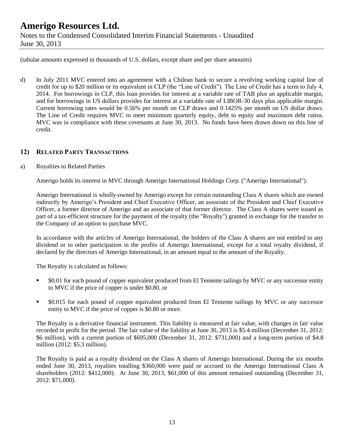June 30, 2013

(tabular amounts expressed in thousands of U.S. dollars, except share and per share amounts)

d) In July 2011 MVC entered into an agreement with a Chilean bank to secure a revolving working capital line of credit for up to \$20 million or its equivalent in CLP (the "Line of Credit"). The Line of Credit has a term to July 4, 2014. For borrowings in CLP, this loan provides for interest at a variable rate of TAB plus an applicable margin, and for borrowings in US dollars provides for interest at a variable rate of LIBOR-30 days plus applicable margin. Current borrowing rates would be 0.56% per month on CLP draws and 0.1425% per month on US dollar draws. The Line of Credit requires MVC to meet minimum quarterly equity, debt to equity and maximum debt ratios. MVC was in compliance with these covenants at June 30, 2013. No funds have been drawn down on this line of credit.

### **12) RELATED PARTY TRANSACTIONS**

#### a) Royalties to Related Parties

Amerigo holds its interest in MVC through Amerigo International Holdings Corp. ("Amerigo International").

Amerigo International is wholly-owned by Amerigo except for certain outstanding Class A shares which are owned indirectly by Amerigo's President and Chief Executive Officer, an associate of the President and Chief Executive Officer, a former director of Amerigo and an associate of that former director. The Class A shares were issued as part of a tax-efficient structure for the payment of the royalty (the "Royalty") granted in exchange for the transfer to the Company of an option to purchase MVC.

In accordance with the articles of Amerigo International, the holders of the Class A shares are not entitled to any dividend or to other participation in the profits of Amerigo International, except for a total royalty dividend, if declared by the directors of Amerigo International, in an amount equal to the amount of the Royalty.

The Royalty is calculated as follows:

- \$0.01 for each pound of copper equivalent produced from El Teniente tailings by MVC or any successor entity to MVC if the price of copper is under \$0.80, or
- \$0.015 for each pound of copper equivalent produced from El Teniente tailings by MVC or any successor entity to MVC if the price of copper is \$0.80 or more.

The Royalty is a derivative financial instrument. This liability is measured at fair value, with changes in fair value recorded in profit for the period. The fair value of the liability at June 30, 2013 is \$5.4 million (December 31, 2012: \$6 million), with a current portion of \$695,000 (December 31, 2012: \$731,000) and a long-term portion of \$4.8 million (2012: \$5.3 million).

The Royalty is paid as a royalty dividend on the Class A shares of Amerigo International. During the six months ended June 30, 2013, royalties totalling \$360,000 were paid or accrued to the Amerigo International Class A shareholders (2012: \$412,000). At June 30, 2013, \$61,000 of this amount remained outstanding (December 31, 2012: \$71,000).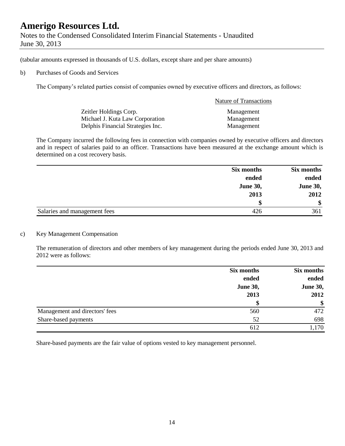Notes to the Condensed Consolidated Interim Financial Statements - Unaudited June 30, 2013

(tabular amounts expressed in thousands of U.S. dollars, except share and per share amounts)

#### b) Purchases of Goods and Services

The Company's related parties consist of companies owned by executive officers and directors, as follows:

|                                   | <b>Nature of Transactions</b> |
|-----------------------------------|-------------------------------|
| Zeitler Holdings Corp.            | Management                    |
| Michael J. Kuta Law Corporation   | Management                    |
| Delphis Financial Strategies Inc. | Management                    |

The Company incurred the following fees in connection with companies owned by executive officers and directors and in respect of salaries paid to an officer. Transactions have been measured at the exchange amount which is determined on a cost recovery basis.

|                              | Six months      | Six months      |
|------------------------------|-----------------|-----------------|
|                              | ended           | ended           |
|                              | <b>June 30,</b> | <b>June 30,</b> |
|                              | 2013            | 2012            |
|                              | S               | \$              |
| Salaries and management fees | 426             | 361             |

#### c) Key Management Compensation

The remuneration of directors and other members of key management during the periods ended June 30, 2013 and 2012 were as follows:

|                                | Six months      | Six months      |  |
|--------------------------------|-----------------|-----------------|--|
|                                | ended           | ended           |  |
|                                | <b>June 30,</b> | <b>June 30,</b> |  |
|                                | 2013            | 2012            |  |
|                                | \$              | $\frac{1}{2}$   |  |
| Management and directors' fees | 560             | 472             |  |
| Share-based payments           | 52              | 698             |  |
|                                | 612             | 1,170           |  |

Share-based payments are the fair value of options vested to key management personnel.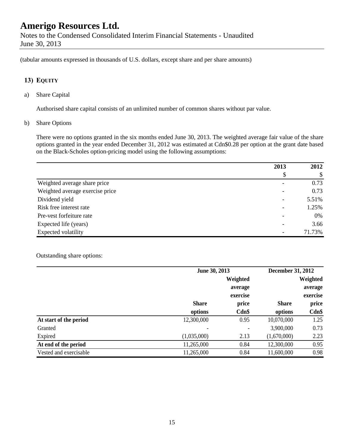(tabular amounts expressed in thousands of U.S. dollars, except share and per share amounts)

### **13) EQUITY**

a) Share Capital

Authorised share capital consists of an unlimited number of common shares without par value.

b) Share Options

There were no options granted in the six months ended June 30, 2013. The weighted average fair value of the share options granted in the year ended December 31, 2012 was estimated at Cdn\$0.28 per option at the grant date based on the Black-Scholes option-pricing model using the following assumptions:

|                                 | 2013 | 2012   |
|---------------------------------|------|--------|
|                                 | \$   | \$     |
| Weighted average share price    |      | 0.73   |
| Weighted average exercise price |      | 0.73   |
| Dividend yield                  |      | 5.51%  |
| Risk free interest rate         |      | 1.25%  |
| Pre-vest forfeiture rate        |      | 0%     |
| Expected life (years)           |      | 3.66   |
| Expected volatility             |      | 71.73% |

#### Outstanding share options:

|                        |              | June 30, 2013 |              | December 31, 2012 |  |
|------------------------|--------------|---------------|--------------|-------------------|--|
|                        |              | Weighted      |              | Weighted          |  |
|                        |              | average       |              | average           |  |
|                        |              | exercise      |              | exercise          |  |
|                        | <b>Share</b> | price         | <b>Share</b> | price             |  |
|                        | options      | Cdn\$         | options      | $Cdn$ \$          |  |
| At start of the period | 12,300,000   | 0.95          | 10,070,000   | 1.25              |  |
| Granted                | -            |               | 3,900,000    | 0.73              |  |
| Expired                | (1,035,000)  | 2.13          | (1,670,000)  | 2.23              |  |
| At end of the period   | 11,265,000   | 0.84          | 12,300,000   | 0.95              |  |
| Vested and exercisable | 11,265,000   | 0.84          | 11,600,000   | 0.98              |  |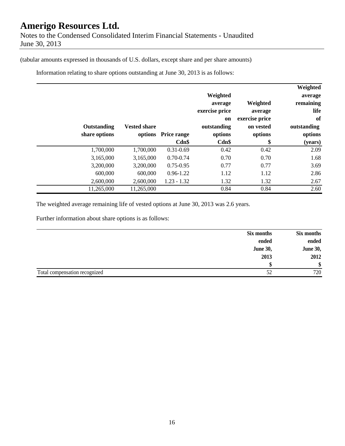June 30, 2013

(tabular amounts expressed in thousands of U.S. dollars, except share and per share amounts)

Information relating to share options outstanding at June 30, 2013 is as follows:

|               |             |                     |                    |                |                | Weighted    |
|---------------|-------------|---------------------|--------------------|----------------|----------------|-------------|
|               |             |                     |                    | Weighted       |                | average     |
|               |             |                     |                    | average        | Weighted       | remaining   |
|               |             |                     |                    | exercise price | average        | life        |
|               |             |                     |                    | <sub>on</sub>  | exercise price | of          |
|               | Outstanding | <b>Vested share</b> |                    | outstanding    | on vested      | outstanding |
| share options |             | options             | <b>Price range</b> | options        | options        | options     |
|               |             |                     | $Cdn$ \$           | Cdn\$          | \$             | (years)     |
|               | 1,700,000   | 1,700,000           | $0.31 - 0.69$      | 0.42           | 0.42           | 2.09        |
|               | 3,165,000   | 3,165,000           | $0.70 - 0.74$      | 0.70           | 0.70           | 1.68        |
|               | 3,200,000   | 3,200,000           | $0.75 - 0.95$      | 0.77           | 0.77           | 3.69        |
|               | 600,000     | 600,000             | $0.96 - 1.22$      | 1.12           | 1.12           | 2.86        |
|               | 2,600,000   | 2,600,000           | $1.23 - 1.32$      | 1.32           | 1.32           | 2.67        |
|               | 11,265,000  | 11,265,000          |                    | 0.84           | 0.84           | 2.60        |

The weighted average remaining life of vested options at June 30, 2013 was 2.6 years.

Further information about share options is as follows:

|                               | Six months      | Six months      |
|-------------------------------|-----------------|-----------------|
|                               | ended           | ended           |
|                               | <b>June 30,</b> | <b>June 30,</b> |
|                               | 2013            | 2012            |
|                               |                 | \$              |
| Total compensation recognized | 52              | 720             |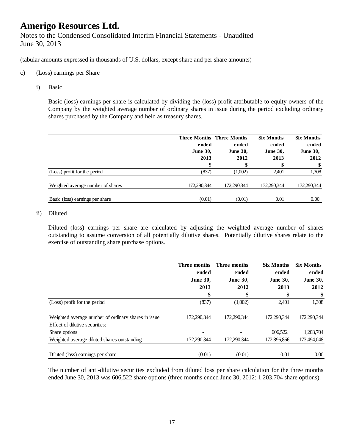(tabular amounts expressed in thousands of U.S. dollars, except share and per share amounts)

- c) (Loss) earnings per Share
	- i) Basic

Basic (loss) earnings per share is calculated by dividing the (loss) profit attributable to equity owners of the Company by the weighted average number of ordinary shares in issue during the period excluding ordinary shares purchased by the Company and held as treasury shares.

|                                   | ended<br><b>June 30,</b><br>2013<br>\$ | <b>Three Months Three Months</b><br>ended<br><b>June 30,</b><br>2012<br>\$ | <b>Six Months</b><br>ended<br><b>June 30,</b><br>2013<br>\$ | <b>Six Months</b><br>ended<br><b>June 30,</b><br>2012<br>\$ |
|-----------------------------------|----------------------------------------|----------------------------------------------------------------------------|-------------------------------------------------------------|-------------------------------------------------------------|
| (Loss) profit for the period      | (837)                                  | (1,002)                                                                    | 2,401                                                       | 1,308                                                       |
| Weighted average number of shares | 172,290,344                            | 172,290,344                                                                | 172,290,344                                                 | 172,290,344                                                 |
| Basic (loss) earnings per share   | (0.01)                                 | (0.01)                                                                     | 0.01                                                        | 0.00                                                        |

#### ii) Diluted

Diluted (loss) earnings per share are calculated by adjusting the weighted average number of shares outstanding to assume conversion of all potentially dilutive shares. Potentially dilutive shares relate to the exercise of outstanding share purchase options.

|                                                                                       | Three months    | Three months    | <b>Six Months</b> | <b>Six Months</b> |
|---------------------------------------------------------------------------------------|-----------------|-----------------|-------------------|-------------------|
|                                                                                       | ended           | ended           | ended             | ended             |
|                                                                                       | <b>June 30,</b> | <b>June 30,</b> | <b>June 30,</b>   | <b>June 30,</b>   |
|                                                                                       | 2013            | 2012            | 2013              | 2012              |
|                                                                                       | \$              | \$              | \$                | \$                |
| (Loss) profit for the period                                                          | (837)           | (1,002)         | 2,401             | 1,308             |
| Weighted average number of ordinary shares in issue<br>Effect of dilutive securities: | 172,290,344     | 172.290.344     | 172.290.344       | 172.290.344       |
| Share options                                                                         |                 |                 | 606,522           | 1,203,704         |
| Weighted average diluted shares outstanding                                           | 172,290,344     | 172.290.344     | 172,896,866       | 173,494,048       |
| Diluted (loss) earnings per share                                                     | (0.01)          | (0.01)          | 0.01              | 0.00              |

The number of anti-dilutive securities excluded from diluted loss per share calculation for the three months ended June 30, 2013 was 606,522 share options (three months ended June 30, 2012: 1,203,704 share options).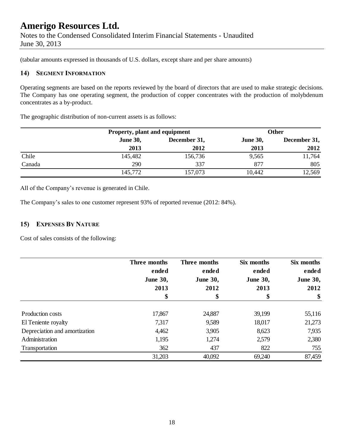June 30, 2013

(tabular amounts expressed in thousands of U.S. dollars, except share and per share amounts)

### **14) SEGMENT INFORMATION**

Operating segments are based on the reports reviewed by the board of directors that are used to make strategic decisions. The Company has one operating segment, the production of copper concentrates with the production of molybdenum concentrates as a by-product.

The geographic distribution of non-current assets is as follows:

|        | Property, plant and equipment |              |                 | Other        |
|--------|-------------------------------|--------------|-----------------|--------------|
|        | <b>June 30,</b>               | December 31, | <b>June 30,</b> | December 31, |
|        | 2013                          | 2012         | 2013            | 2012         |
| Chile  | 145,482                       | 156,736      | 9,565           | 11,764       |
| Canada | 290                           | 337          | 877             | 805          |
|        | 145,772                       | 157,073      | 10,442          | 12,569       |

All of the Company's revenue is generated in Chile.

The Company's sales to one customer represent 93% of reported revenue (2012: 84%).

### **15) EXPENSES BY NATURE**

Cost of sales consists of the following:

|                               | Three months<br>ended | Three months<br>ended | Six months<br>ended | Six months<br>ended |
|-------------------------------|-----------------------|-----------------------|---------------------|---------------------|
|                               | <b>June 30,</b>       | <b>June 30,</b>       | <b>June 30,</b>     | <b>June 30,</b>     |
|                               | 2013                  | 2012                  | 2013                | 2012                |
|                               | \$                    | \$                    |                     | \$                  |
| Production costs              | 17,867                | 24,887                | 39,199              | 55,116              |
| El Teniente royalty           | 7,317                 | 9,589                 | 18,017              | 21,273              |
| Depreciation and amortization | 4,462                 | 3,905                 | 8,623               | 7,935               |
| Administration                | 1,195                 | 1,274                 | 2,579               | 2,380               |
| Transportation                | 362                   | 437                   | 822                 | 755                 |
|                               | 31,203                | 40,092                | 69,240              | 87,459              |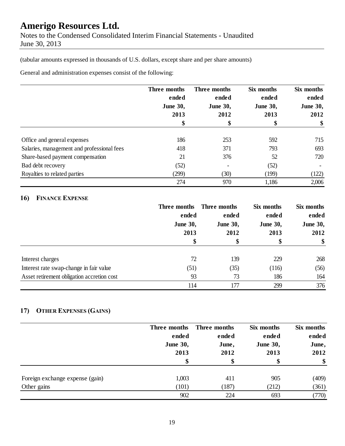Notes to the Condensed Consolidated Interim Financial Statements - Unaudited June 30, 2013

(tabular amounts expressed in thousands of U.S. dollars, except share and per share amounts)

General and administration expenses consist of the following:

|                                            | Three months<br>ended<br><b>June 30,</b><br>2013 | Three months<br>ended<br><b>June 30,</b><br>2012 | Six months<br>ended<br><b>June 30,</b><br>2013 | Six months<br>ended<br><b>June 30,</b><br>2012 |
|--------------------------------------------|--------------------------------------------------|--------------------------------------------------|------------------------------------------------|------------------------------------------------|
|                                            |                                                  |                                                  |                                                |                                                |
|                                            |                                                  |                                                  |                                                |                                                |
|                                            |                                                  |                                                  |                                                |                                                |
|                                            | \$                                               | \$                                               | \$                                             | \$                                             |
| Office and general expenses                | 186                                              | 253                                              | 592                                            | 715                                            |
| Salaries, management and professional fees | 418                                              | 371                                              | 793                                            | 693                                            |
| Share-based payment compensation           | 21                                               | 376                                              | 52                                             | 720                                            |
| Bad debt recovery                          | (52)                                             |                                                  | (52)                                           |                                                |
| Royalties to related parties               | (299)                                            | (30)                                             | (199)                                          | (122)                                          |
|                                            | 274                                              | 970                                              | 1,186                                          | 2,006                                          |

### **16) FINANCE EXPENSE**

|                                            | Three months<br>ended<br><b>June 30,</b> | Three months    | Six months<br>ended<br><b>June 30,</b> | Six months<br>ended<br><b>June 30,</b> |
|--------------------------------------------|------------------------------------------|-----------------|----------------------------------------|----------------------------------------|
|                                            |                                          | ended           |                                        |                                        |
|                                            |                                          | <b>June 30,</b> |                                        |                                        |
|                                            | 2013                                     | 2012            | 2013                                   | 2012                                   |
|                                            | \$                                       |                 | \$                                     | \$                                     |
|                                            |                                          |                 |                                        |                                        |
| Interest charges                           | 72                                       | 139             | 229                                    | 268                                    |
| Interest rate swap-change in fair value    | (51)                                     | (35)            | (116)                                  | (56)                                   |
| Asset retirement obligation accretion cost | 93                                       | 73              | 186                                    | 164                                    |
|                                            | 114                                      | 177             | 299                                    | 376                                    |

### **17) OTHER EXPENSES (GAINS)**

|                                 | Three months<br>ended<br><b>June 30,</b><br>2013<br>\$ | Three months<br>ended<br>June,<br>2012 | Six months<br>ended<br><b>June 30,</b><br>2013 | Six months<br>ended<br>June,<br>2012<br>\$ |
|---------------------------------|--------------------------------------------------------|----------------------------------------|------------------------------------------------|--------------------------------------------|
| Foreign exchange expense (gain) | 1,003                                                  | 411                                    | 905                                            | (409)                                      |
| Other gains                     | (101)<br>902                                           | (187)<br>224                           | (212)<br>693                                   | (361)<br>(770)                             |